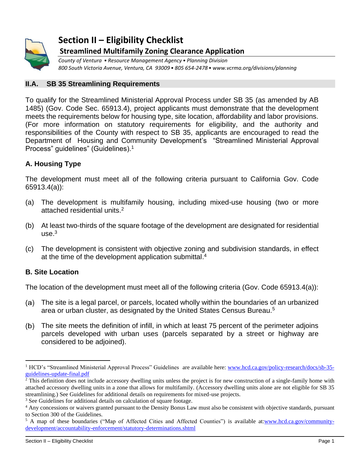

# **Section II – Eligibility Checklist Streamlined Multifamily Zoning Clearance Application**

*County of Ventura • Resource Management Agency• Planning Division 800 South Victoria Avenue, Ventura, CA 93009• 805 654-2478• www.vcrma.org/divisions/planning*

# **II.A. SB 35 Streamlining Requirements**

To qualify for the Streamlined Ministerial Approval Process under SB 35 (as amended by AB 1485) (Gov. Code Sec. 65913.4), project applicants must demonstrate that the development meets the requirements below for housing type, site location, affordability and labor provisions. (For more information on statutory requirements for eligibility, and the authority and responsibilities of the County with respect to SB 35, applicants are encouraged to read the Department of Housing and Community Development's "Streamlined Ministerial Approval Process" guidelines" (Guidelines).<sup>1</sup>

# **A. Housing Type**

The development must meet all of the following criteria pursuant to California Gov. Code 65913.4(a)):

- (a) The development is multifamily housing, including mixed-use housing (two or more attached residential units.<sup>2</sup>
- (b) At least two-thirds of the square footage of the development are designated for residential use. $^3$
- (c) The development is consistent with objective zoning and subdivision standards, in effect at the time of the development application submittal. 4

# **B. Site Location**

The location of the development must meet all of the following criteria (Gov. Code 65913.4(a)):

- The site is a legal parcel, or parcels, located wholly within the boundaries of an urbanized area or urban cluster, as designated by the United States Census Bureau.<sup>5</sup>
- $(b)$ The site meets the definition of infill, in which at least 75 percent of the perimeter adjoins parcels developed with urban uses (parcels separated by a street or highway are considered to be adjoined).

<sup>&</sup>lt;sup>1</sup> HCD's "Streamlined Ministerial Approval Process" Guidelines are available here: [www.hcd.ca.gov/policy-research/docs/sb-35](https://www.hcd.ca.gov/policy-research/docs/sb-35-guidelines-update-final.pdf) [guidelines-update-final.pdf](https://www.hcd.ca.gov/policy-research/docs/sb-35-guidelines-update-final.pdf)

 $2$ <sup>2</sup> This definition does not include accessory dwelling units unless the project is for new construction of a single-family home with attached accessory dwelling units in a zone that allows for multifamily. (Accessory dwelling units alone are not eligible for SB 35 streamlining.) See Guidelines for additional details on requirements for mixed-use projects.

<sup>&</sup>lt;sup>3</sup> See Guidelines for additional details on calculation of square footage.

<sup>&</sup>lt;sup>4</sup> Any concessions or waivers granted pursuant to the Density Bonus Law must also be consistent with objective standards, pursuant to Section 300 of the Guidelines.

<sup>&</sup>lt;sup>5</sup> A map of these boundaries ("Map of Affected Cities and Affected Counties") is available at[:www.hcd.ca.gov/community](https://www.hcd.ca.gov/community-development/accountability-enforcement/statutory-determinations.shtml)[development/accountability-enforcement/statutory-determinations.shtml](https://www.hcd.ca.gov/community-development/accountability-enforcement/statutory-determinations.shtml)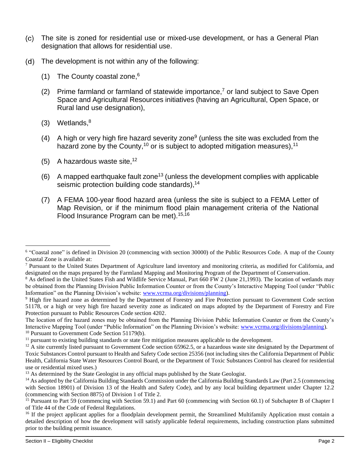- The site is zoned for residential use or mixed-use development, or has a General Plan designation that allows for residential use.
- $(d)$ The development is not within any of the following:
	- (1) The County coastal zone, 6
	- (2) Prime farmland or farmland of statewide importance,<sup>7</sup> or land subject to Save Open Space and Agricultural Resources initiatives (having an Agricultural, Open Space, or Rural land use designation),
	- (3) Wetlands, 8
	- (4) A high or very high fire hazard severity zone<sup>9</sup> (unless the site was excluded from the hazard zone by the County,<sup>10</sup> or is subject to adopted mitigation measures),<sup>11</sup>
	- (5) A hazardous waste site,  $12$
	- (6) A mapped earthquake fault zone<sup>13</sup> (unless the development complies with applicable seismic protection building code standards),<sup>14</sup>
	- (7) A FEMA 100-year flood hazard area (unless the site is subject to a FEMA Letter of Map Revision, or if the minimum flood plain management criteria of the National Flood Insurance Program can be met).15,16

The location of fire hazard zones may be obtained from the Planning Division Public Information Counter or from the County's Interactive Mapping Tool (under "Public Information" on the Planning Division's website: [www.vcrma.org/divisions/planning\)](https://vcrma.org/divisions/planning). <sup>10</sup> Pursuant to Government Code Section 51179(b).

<sup>11</sup> pursuant to existing building standards or state fire mitigation measures applicable to the development.

<sup>&</sup>lt;sup>6</sup> "Coastal zone" is defined in Division 20 (commencing with section 30000) of the Public Resources Code. A map of the County Coastal Zone is available at:

 $<sup>7</sup>$  Pursuant to the United States Department of Agriculture land inventory and monitoring criteria, as modified for California, and</sup> designated on the maps prepared by the Farmland Mapping and Monitoring Program of the Department of Conservation.

<sup>&</sup>lt;sup>8</sup> As defined in the United States Fish and Wildlife Service Manual, Part 660 FW 2 (June 21,1993). The location of wetlands may be obtained from the Planning Division Public Information Counter or from the County's Interactive Mapping Tool (under "Public Information" on the Planning Division's website: [www.vcrma.org/divisions/planning\)](https://vcrma.org/divisions/planning).

<sup>&</sup>lt;sup>9</sup> High fire hazard zone as determined by the Department of Forestry and Fire Protection pursuant to Government Code section 51178, or a high or very high fire hazard severity zone as indicated on maps adopted by the Department of Forestry and Fire Protection pursuant to Public Resources Code section 4202.

 $12$  A site currently listed pursuant to Government Code section 65962.5, or a hazardous waste site designated by the Department of Toxic Substances Control pursuant to Health and Safety Code section 25356 (not including sites the California Department of Public Health, California State Water Resources Control Board, or the Department of Toxic Substances Control has cleared for residential use or residential mixed uses.)

<sup>&</sup>lt;sup>13</sup> As determined by the State Geologist in any official maps published by the State Geologist.

<sup>&</sup>lt;sup>14</sup> As adopted by the California Building Standards Commission under the California Building Standards Law (Part 2.5 (commencing with Section 18901) of Division 13 of the Health and Safety Code), and by any local building department under Chapter 12.2 (commencing with Section 8875) of Division 1 of Title 2.

<sup>&</sup>lt;sup>15</sup> Pursuant to Part 59 (commencing with Section 59.1) and Part 60 (commencing with Section 60.1) of Subchapter B of Chapter I of Title 44 of the Code of Federal Regulations.

<sup>&</sup>lt;sup>16</sup> If the project applicant applies for a floodplain development permit, the Streamlined Multifamily Application must contain a detailed description of how the development will satisfy applicable federal requirements, including construction plans submitted prior to the building permit issuance.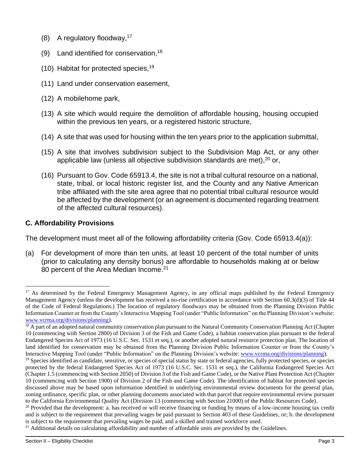- (8) A regulatory floodway, 17
- (9) Land identified for conservation,  $18$
- (10) Habitat for protected species, 19
- (11) Land under conservation easement,
- (12) A mobilehome park,
- (13) A site which would require the demolition of affordable housing, housing occupied within the previous ten years, or a registered historic structure,
- (14) A site that was used for housing within the ten years prior to the application submittal,
- (15) A site that involves subdivision subject to the Subdivision Map Act, or any other applicable law (unless all objective subdivision standards are met), $^{20}$  or,
- (16) Pursuant to Gov. Code 65913.4, the site is not a tribal cultural resource on a national, state, tribal, or local historic register list, and the County and any Native American tribe affiliated with the site area agree that no potential tribal cultural resource would be affected by the development (or an agreement is documented regarding treatment of the affected cultural resources).

# **C. Affordability Provisions**

The development must meet all of the following affordability criteria (Gov. Code 65913.4(a)):

(a) For development of more than ten units, at least 10 percent of the total number of units (prior to calculating any density bonus) are affordable to households making at or below 80 percent of the Area Median Income.<sup>21</sup>

<sup>&</sup>lt;sup>17</sup> As determined by the Federal Emergency Management Agency, in any official maps published by the Federal Emergency Management Agency (unless the development has received a no-rise certification in accordance with Section 60.3(d)(3) of Title 44 of the Code of Federal Regulations.) The location of regulatory floodways may be obtained from the Planning Division Public Information Counter or from the County's Interactive Mapping Tool (under "Public Information" on the Planning Division's website: [www.vcrma.org/divisions/planning\)](https://vcrma.org/divisions/planning).

<sup>&</sup>lt;sup>18</sup> A part of an adopted natural community conservation plan pursuant to the Natural Community Conservation Planning Act (Chapter 10 (commencing with Section 2800) of Division 3 of the Fish and Game Code), a habitat conservation plan pursuant to the federal Endangered Species Act of 1973 (16 U.S.C. Sec. 1531 et seq.), or another adopted natural resource protection plan. The location of land identified for conservation may be obtained from the Planning Division Public Information Counter or from the County's Interactive Mapping Tool (under "Public Information" on the Planning Division's website[: www.vcrma.org/divisions/planning\)](https://vcrma.org/divisions/planning).

<sup>&</sup>lt;sup>19</sup> Species identified as candidate, sensitive, or species of special status by state or federal agencies, fully protected species, or species protected by the federal Endangered Species Act of 1973 (16 U.S.C. Sec. 1531 et seq.), the California Endangered Species Act (Chapter 1.5 (commencing with Section 2050) of Division 3 of the Fish and Game Code), or the Native Plant Protection Act (Chapter 10 (commencing with Section 1900) of Division 2 of the Fish and Game Code). The identification of habitat for protected species discussed above may be based upon information identified in underlying environmental review documents for the general plan, zoning ordinance, specific plan, or other planning documents associated with that parcel that require environmental review pursuant to the California Environmental Quality Act (Division 13 (commencing with Section 21000) of the Public Resources Code).

 $20$  Provided that the development: a. has received or will receive financing or funding by means of a low-income housing tax credit and is subject to the requirement that prevailing wages be paid pursuant to Section 403 of these Guidelines, or; b. the development is subject to the requirement that prevailing wages be paid, and a skilled and trained workforce used.

<sup>&</sup>lt;sup>21</sup> Additional details on calculating affordability and number of affordable units are provided by the Guidelines.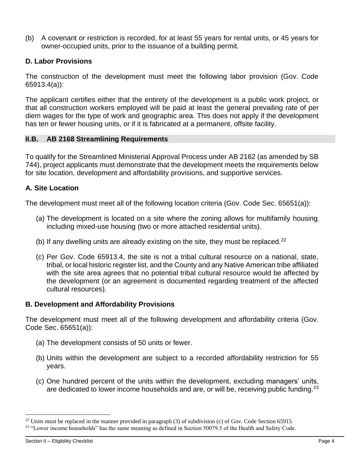(b) A covenant or restriction is recorded, for at least 55 years for rental units, or 45 years for owner-occupied units, prior to the issuance of a building permit.

# **D. Labor Provisions**

The construction of the development must meet the following labor provision (Gov. Code 65913.4(a)):

The applicant certifies either that the entirety of the development is a public work project, or that all construction workers employed will be paid at least the general prevailing rate of per diem wages for the type of work and geographic area. This does not apply if the development has ten or fewer housing units, or if it is fabricated at a permanent, offsite facility.

## **II.B. AB 2168 Streamlining Requirements**

To qualify for the Streamlined Ministerial Approval Process under AB 2162 (as amended by SB 744), project applicants must demonstrate that the development meets the requirements below for site location, development and affordability provisions, and supportive services.

## **A. Site Location**

The development must meet all of the following location criteria (Gov. Code Sec. 65651(a)):

- (a) The development is located on a site where the zoning allows for multifamily housing, including mixed-use housing (two or more attached residential units).
- (b) If any dwelling units are already existing on the site, they must be replaced.<sup>22</sup>
- (c) Per Gov. Code 65913.4, the site is not a tribal cultural resource on a national, state, tribal, or local historic register list, and the County and any Native American tribe affiliated with the site area agrees that no potential tribal cultural resource would be affected by the development (or an agreement is documented regarding treatment of the affected cultural resources).

## **B. Development and Affordability Provisions**

The development must meet all of the following development and affordability criteria (Gov. Code Sec. 65651(a)):

- (a) The development consists of 50 units or fewer.
- (b) Units within the development are subject to a recorded affordability restriction for 55 years.
- (c) One hundred percent of the units within the development, excluding managers' units, are dedicated to lower income households and are, or will be, receiving public funding.<sup>23</sup>

<sup>&</sup>lt;sup>22</sup> Units must be replaced in the manner provided in paragraph (3) of subdivision (c) of Gov. Code Section 65915.

<sup>&</sup>lt;sup>23</sup> "Lower income households" has the same meaning as defined in Section 50079.5 of the Health and Safety Code.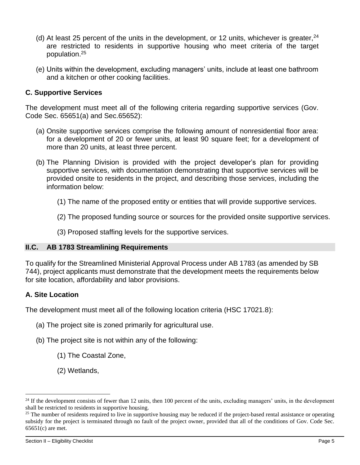- (d) At least 25 percent of the units in the development, or 12 units, whichever is greater,  $24$ are restricted to residents in supportive housing who meet criteria of the target population. 25
- (e) Units within the development, excluding managers' units, include at least one bathroom and a kitchen or other cooking facilities.

# **C. Supportive Services**

The development must meet all of the following criteria regarding supportive services (Gov. Code Sec. 65651(a) and Sec.65652):

- (a) Onsite supportive services comprise the following amount of nonresidential floor area: for a development of 20 or fewer units, at least 90 square feet; for a development of more than 20 units, at least three percent.
- (b) The Planning Division is provided with the project developer's plan for providing supportive services, with documentation demonstrating that supportive services will be provided onsite to residents in the project, and describing those services, including the information below:
	- (1) The name of the proposed entity or entities that will provide supportive services.
	- (2) The proposed funding source or sources for the provided onsite supportive services.
	- (3) Proposed staffing levels for the supportive services.

## **II.C. AB 1783 Streamlining Requirements**

To qualify for the Streamlined Ministerial Approval Process under AB 1783 (as amended by SB 744), project applicants must demonstrate that the development meets the requirements below for site location, affordability and labor provisions.

## **A. Site Location**

The development must meet all of the following location criteria (HSC 17021.8):

- (a) The project site is zoned primarily for agricultural use.
- (b) The project site is not within any of the following:
	- (1) The Coastal Zone,
	- (2) Wetlands,

 $^{24}$  If the development consists of fewer than 12 units, then 100 percent of the units, excluding managers' units, in the development shall be restricted to residents in supportive housing.

 $25$  The number of residents required to live in supportive housing may be reduced if the project-based rental assistance or operating subsidy for the project is terminated through no fault of the project owner, provided that all of the conditions of Gov. Code Sec. 65651(c) are met.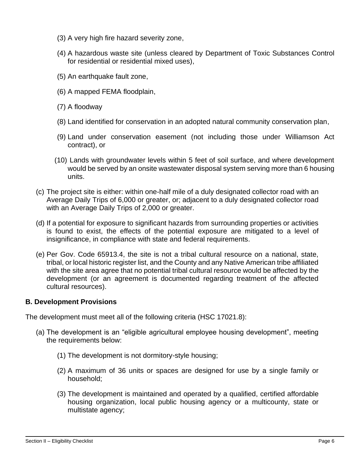- (3) A very high fire hazard severity zone,
- (4) A hazardous waste site (unless cleared by Department of Toxic Substances Control for residential or residential mixed uses),
- (5) An earthquake fault zone,
- (6) A mapped FEMA floodplain,
- (7) A floodway
- (8) Land identified for conservation in an adopted natural community conservation plan,
- (9) Land under conservation easement (not including those under Williamson Act contract), or
- (10) Lands with groundwater levels within 5 feet of soil surface, and where development would be served by an onsite wastewater disposal system serving more than 6 housing units.
- (c) The project site is either: within one-half mile of a duly designated collector road with an Average Daily Trips of 6,000 or greater, or; adjacent to a duly designated collector road with an Average Daily Trips of 2,000 or greater.
- (d) If a potential for exposure to significant hazards from surrounding properties or activities is found to exist, the effects of the potential exposure are mitigated to a level of insignificance, in compliance with state and federal requirements.
- (e) Per Gov. Code 65913.4, the site is not a tribal cultural resource on a national, state, tribal, or local historic register list, and the County and any Native American tribe affiliated with the site area agree that no potential tribal cultural resource would be affected by the development (or an agreement is documented regarding treatment of the affected cultural resources).

## **B. Development Provisions**

The development must meet all of the following criteria (HSC 17021.8):

- (a) The development is an "eligible agricultural employee housing development", meeting the requirements below:
	- (1) The development is not dormitory-style housing;
	- (2) A maximum of 36 units or spaces are designed for use by a single family or household;
	- (3) The development is maintained and operated by a qualified, certified affordable housing organization, local public housing agency or a multicounty, state or multistate agency;